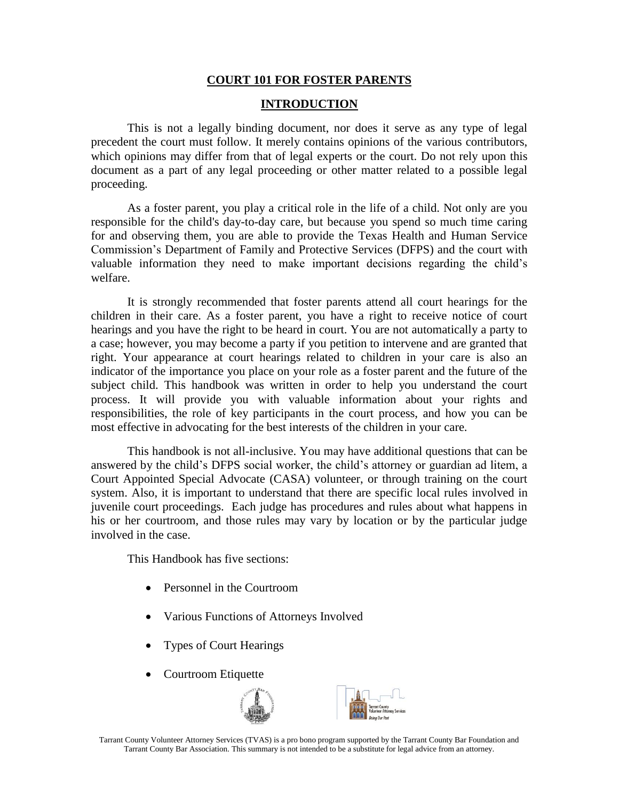### **COURT 101 FOR FOSTER PARENTS**

#### **INTRODUCTION**

This is not a legally binding document, nor does it serve as any type of legal precedent the court must follow. It merely contains opinions of the various contributors, which opinions may differ from that of legal experts or the court. Do not rely upon this document as a part of any legal proceeding or other matter related to a possible legal proceeding.

As a foster parent, you play a critical role in the life of a child. Not only are you responsible for the child's day-to-day care, but because you spend so much time caring for and observing them, you are able to provide the Texas Health and Human Service Commission's Department of Family and Protective Services (DFPS) and the court with valuable information they need to make important decisions regarding the child's welfare.

It is strongly recommended that foster parents attend all court hearings for the children in their care. As a foster parent, you have a right to receive notice of court hearings and you have the right to be heard in court. You are not automatically a party to a case; however, you may become a party if you petition to intervene and are granted that right. Your appearance at court hearings related to children in your care is also an indicator of the importance you place on your role as a foster parent and the future of the subject child. This handbook was written in order to help you understand the court process. It will provide you with valuable information about your rights and responsibilities, the role of key participants in the court process, and how you can be most effective in advocating for the best interests of the children in your care.

This handbook is not all-inclusive. You may have additional questions that can be answered by the child's DFPS social worker, the child's attorney or guardian ad litem, a Court Appointed Special Advocate (CASA) volunteer, or through training on the court system. Also, it is important to understand that there are specific local rules involved in juvenile court proceedings. Each judge has procedures and rules about what happens in his or her courtroom, and those rules may vary by location or by the particular judge involved in the case.

This Handbook has five sections:

- Personnel in the Courtroom
- Various Functions of Attorneys Involved
- Types of Court Hearings
- Courtroom Etiquette



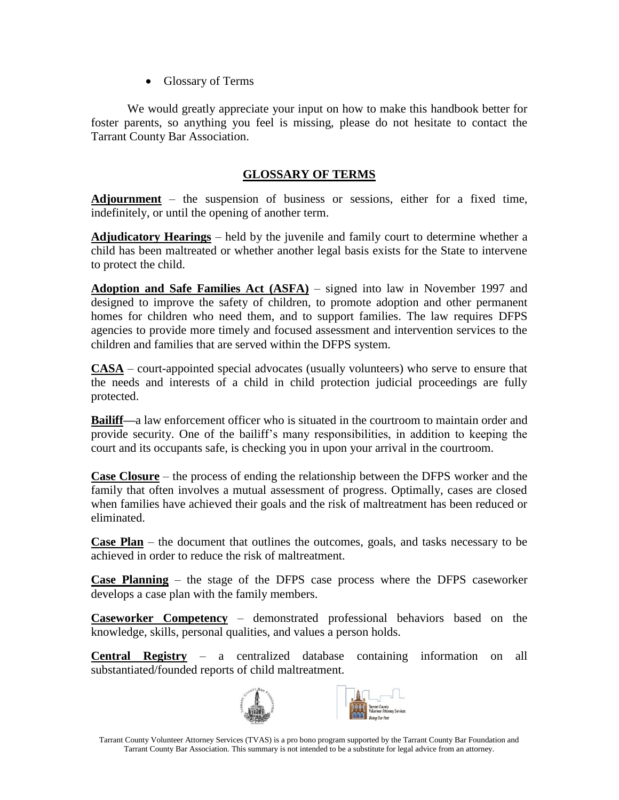• Glossary of Terms

We would greatly appreciate your input on how to make this handbook better for foster parents, so anything you feel is missing, please do not hesitate to contact the Tarrant County Bar Association.

# **GLOSSARY OF TERMS**

**Adjournment** – the suspension of business or sessions, either for a fixed time, indefinitely, or until the opening of another term.

**Adjudicatory Hearings** – held by the juvenile and family court to determine whether a child has been maltreated or whether another legal basis exists for the State to intervene to protect the child.

**Adoption and Safe Families Act (ASFA)** – signed into law in November 1997 and designed to improve the safety of children, to promote adoption and other permanent homes for children who need them, and to support families. The law requires DFPS agencies to provide more timely and focused assessment and intervention services to the children and families that are served within the DFPS system.

**CASA** – court-appointed special advocates (usually volunteers) who serve to ensure that the needs and interests of a child in child protection judicial proceedings are fully protected.

**Bailiff—**a law enforcement officer who is situated in the courtroom to maintain order and provide security. One of the bailiff's many responsibilities, in addition to keeping the court and its occupants safe, is checking you in upon your arrival in the courtroom.

**Case Closure** – the process of ending the relationship between the DFPS worker and the family that often involves a mutual assessment of progress. Optimally, cases are closed when families have achieved their goals and the risk of maltreatment has been reduced or eliminated.

**Case Plan** – the document that outlines the outcomes, goals, and tasks necessary to be achieved in order to reduce the risk of maltreatment.

**Case Planning** – the stage of the DFPS case process where the DFPS caseworker develops a case plan with the family members.

**Caseworker Competency** – demonstrated professional behaviors based on the knowledge, skills, personal qualities, and values a person holds.

**Central Registry** – a centralized database containing information on all substantiated/founded reports of child maltreatment.



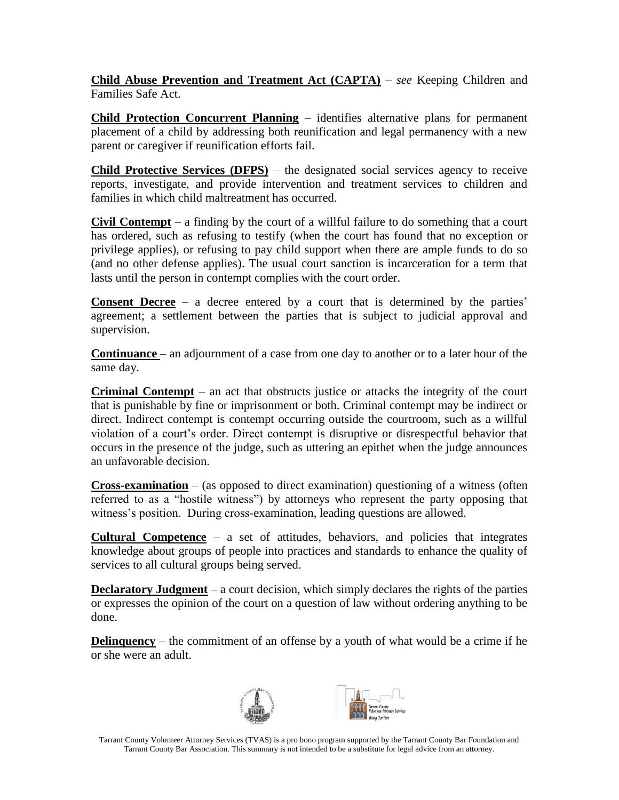**Child Abuse Prevention and Treatment Act (CAPTA)** – *see* Keeping Children and Families Safe Act.

**Child Protection Concurrent Planning** – identifies alternative plans for permanent placement of a child by addressing both reunification and legal permanency with a new parent or caregiver if reunification efforts fail.

**Child Protective Services (DFPS)** – the designated social services agency to receive reports, investigate, and provide intervention and treatment services to children and families in which child maltreatment has occurred.

**Civil Contempt** – a finding by the court of a willful failure to do something that a court has ordered, such as refusing to testify (when the court has found that no exception or privilege applies), or refusing to pay child support when there are ample funds to do so (and no other defense applies). The usual court sanction is incarceration for a term that lasts until the person in contempt complies with the court order.

**Consent Decree** – a decree entered by a court that is determined by the parties' agreement; a settlement between the parties that is subject to judicial approval and supervision.

**Continuance** – an adjournment of a case from one day to another or to a later hour of the same day.

**Criminal Contempt** – an act that obstructs justice or attacks the integrity of the court that is punishable by fine or imprisonment or both. Criminal contempt may be indirect or direct. Indirect contempt is contempt occurring outside the courtroom, such as a willful violation of a court's order. Direct contempt is disruptive or disrespectful behavior that occurs in the presence of the judge, such as uttering an epithet when the judge announces an unfavorable decision.

**Cross-examination** – (as opposed to direct examination) questioning of a witness (often referred to as a "hostile witness") by attorneys who represent the party opposing that witness's position. During cross-examination, leading questions are allowed.

**Cultural Competence** – a set of attitudes, behaviors, and policies that integrates knowledge about groups of people into practices and standards to enhance the quality of services to all cultural groups being served.

**Declaratory Judgment** – a court decision, which simply declares the rights of the parties or expresses the opinion of the court on a question of law without ordering anything to be done.

**Delinquency** – the commitment of an offense by a youth of what would be a crime if he or she were an adult.



Tarrant County Volunteer Attorney Services (TVAS) is a pro bono program supported by the Tarrant County Bar Foundation and Tarrant County Bar Association. This summary is not intended to be a substitute for legal advice from an attorney.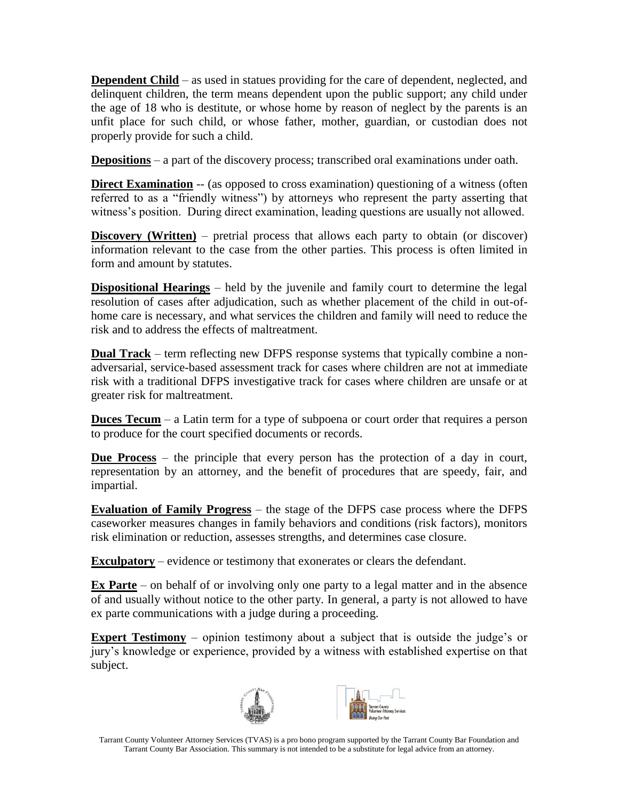**Dependent Child** – as used in statues providing for the care of dependent, neglected, and delinquent children, the term means dependent upon the public support; any child under the age of 18 who is destitute, or whose home by reason of neglect by the parents is an unfit place for such child, or whose father, mother, guardian, or custodian does not properly provide for such a child.

**Depositions** – a part of the discovery process; transcribed oral examinations under oath.

**Direct Examination** -- (as opposed to cross examination) questioning of a witness (often referred to as a "friendly witness") by attorneys who represent the party asserting that witness's position. During direct examination, leading questions are usually not allowed.

**Discovery (Written)** – pretrial process that allows each party to obtain (or discover) information relevant to the case from the other parties. This process is often limited in form and amount by statutes.

**Dispositional Hearings** – held by the juvenile and family court to determine the legal resolution of cases after adjudication, such as whether placement of the child in out-ofhome care is necessary, and what services the children and family will need to reduce the risk and to address the effects of maltreatment.

**Dual Track** – term reflecting new DFPS response systems that typically combine a nonadversarial, service-based assessment track for cases where children are not at immediate risk with a traditional DFPS investigative track for cases where children are unsafe or at greater risk for maltreatment.

**Duces Tecum** – a Latin term for a type of subpoena or court order that requires a person to produce for the court specified documents or records.

**Due Process** – the principle that every person has the protection of a day in court, representation by an attorney, and the benefit of procedures that are speedy, fair, and impartial.

**Evaluation of Family Progress** – the stage of the DFPS case process where the DFPS caseworker measures changes in family behaviors and conditions (risk factors), monitors risk elimination or reduction, assesses strengths, and determines case closure.

**Exculpatory** – evidence or testimony that exonerates or clears the defendant.

**Ex Parte** – on behalf of or involving only one party to a legal matter and in the absence of and usually without notice to the other party. In general, a party is not allowed to have ex parte communications with a judge during a proceeding.

**Expert Testimony** – opinion testimony about a subject that is outside the judge's or jury's knowledge or experience, provided by a witness with established expertise on that subject.



Tarrant County Volunteer Attorney Services (TVAS) is a pro bono program supported by the Tarrant County Bar Foundation and Tarrant County Bar Association. This summary is not intended to be a substitute for legal advice from an attorney.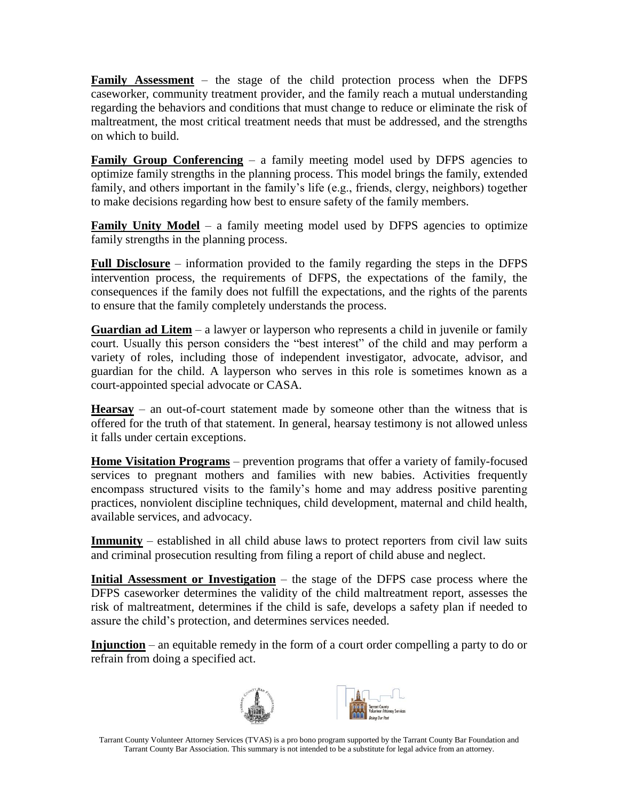**Family Assessment** – the stage of the child protection process when the DFPS caseworker, community treatment provider, and the family reach a mutual understanding regarding the behaviors and conditions that must change to reduce or eliminate the risk of maltreatment, the most critical treatment needs that must be addressed, and the strengths on which to build.

**Family Group Conferencing** – a family meeting model used by DFPS agencies to optimize family strengths in the planning process. This model brings the family, extended family, and others important in the family's life (e.g., friends, clergy, neighbors) together to make decisions regarding how best to ensure safety of the family members.

**Family Unity Model** – a family meeting model used by DFPS agencies to optimize family strengths in the planning process.

**Full Disclosure** – information provided to the family regarding the steps in the DFPS intervention process, the requirements of DFPS, the expectations of the family, the consequences if the family does not fulfill the expectations, and the rights of the parents to ensure that the family completely understands the process.

**Guardian ad Litem** – a lawyer or layperson who represents a child in juvenile or family court. Usually this person considers the "best interest" of the child and may perform a variety of roles, including those of independent investigator, advocate, advisor, and guardian for the child. A layperson who serves in this role is sometimes known as a court-appointed special advocate or CASA.

**Hearsay** – an out-of-court statement made by someone other than the witness that is offered for the truth of that statement. In general, hearsay testimony is not allowed unless it falls under certain exceptions.

**Home Visitation Programs** – prevention programs that offer a variety of family-focused services to pregnant mothers and families with new babies. Activities frequently encompass structured visits to the family's home and may address positive parenting practices, nonviolent discipline techniques, child development, maternal and child health, available services, and advocacy.

**Immunity** – established in all child abuse laws to protect reporters from civil law suits and criminal prosecution resulting from filing a report of child abuse and neglect.

**Initial Assessment or Investigation** – the stage of the DFPS case process where the DFPS caseworker determines the validity of the child maltreatment report, assesses the risk of maltreatment, determines if the child is safe, develops a safety plan if needed to assure the child's protection, and determines services needed.

**Injunction** – an equitable remedy in the form of a court order compelling a party to do or refrain from doing a specified act.



Tarrant County Volunteer Attorney Services (TVAS) is a pro bono program supported by the Tarrant County Bar Foundation and Tarrant County Bar Association. This summary is not intended to be a substitute for legal advice from an attorney.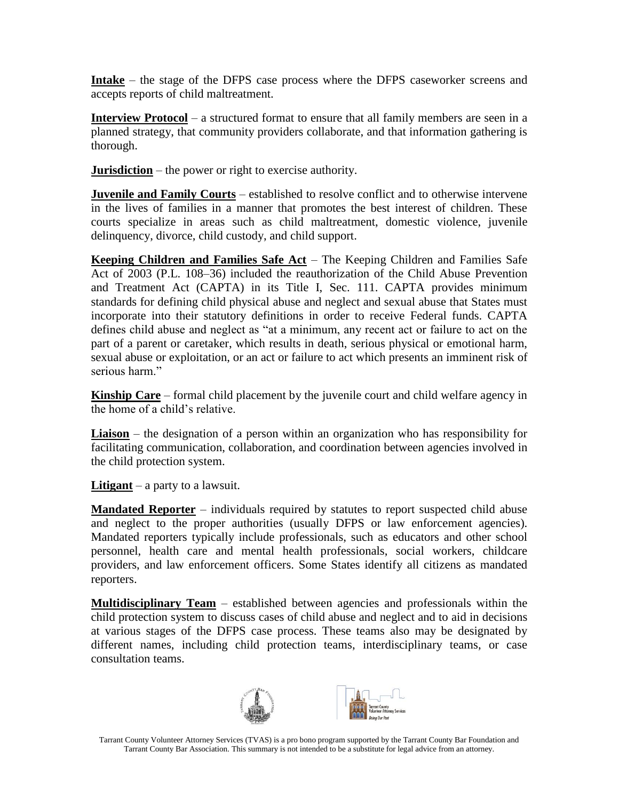**Intake** – the stage of the DFPS case process where the DFPS caseworker screens and accepts reports of child maltreatment.

**Interview Protocol** – a structured format to ensure that all family members are seen in a planned strategy, that community providers collaborate, and that information gathering is thorough.

**Jurisdiction** – the power or right to exercise authority.

**Juvenile and Family Courts** – established to resolve conflict and to otherwise intervene in the lives of families in a manner that promotes the best interest of children. These courts specialize in areas such as child maltreatment, domestic violence, juvenile delinquency, divorce, child custody, and child support.

**Keeping Children and Families Safe Act** – The Keeping Children and Families Safe Act of 2003 (P.L. 108–36) included the reauthorization of the Child Abuse Prevention and Treatment Act (CAPTA) in its Title I, Sec. 111. CAPTA provides minimum standards for defining child physical abuse and neglect and sexual abuse that States must incorporate into their statutory definitions in order to receive Federal funds. CAPTA defines child abuse and neglect as "at a minimum, any recent act or failure to act on the part of a parent or caretaker, which results in death, serious physical or emotional harm, sexual abuse or exploitation, or an act or failure to act which presents an imminent risk of serious harm."

**Kinship Care** – formal child placement by the juvenile court and child welfare agency in the home of a child's relative.

**Liaison** – the designation of a person within an organization who has responsibility for facilitating communication, collaboration, and coordination between agencies involved in the child protection system.

**Litigant** – a party to a lawsuit.

**Mandated Reporter** – individuals required by statutes to report suspected child abuse and neglect to the proper authorities (usually DFPS or law enforcement agencies). Mandated reporters typically include professionals, such as educators and other school personnel, health care and mental health professionals, social workers, childcare providers, and law enforcement officers. Some States identify all citizens as mandated reporters.

**Multidisciplinary Team** – established between agencies and professionals within the child protection system to discuss cases of child abuse and neglect and to aid in decisions at various stages of the DFPS case process. These teams also may be designated by different names, including child protection teams, interdisciplinary teams, or case consultation teams.



Tarrant County Volunteer Attorney Services (TVAS) is a pro bono program supported by the Tarrant County Bar Foundation and Tarrant County Bar Association. This summary is not intended to be a substitute for legal advice from an attorney.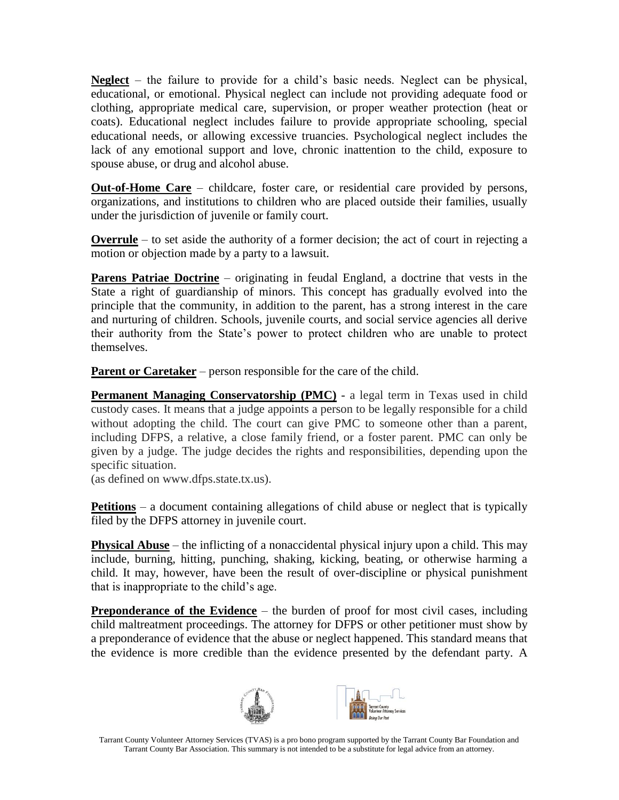**Neglect** – the failure to provide for a child's basic needs. Neglect can be physical, educational, or emotional. Physical neglect can include not providing adequate food or clothing, appropriate medical care, supervision, or proper weather protection (heat or coats). Educational neglect includes failure to provide appropriate schooling, special educational needs, or allowing excessive truancies. Psychological neglect includes the lack of any emotional support and love, chronic inattention to the child, exposure to spouse abuse, or drug and alcohol abuse.

**Out-of-Home Care** – childcare, foster care, or residential care provided by persons, organizations, and institutions to children who are placed outside their families, usually under the jurisdiction of juvenile or family court.

**Overrule** – to set aside the authority of a former decision; the act of court in rejecting a motion or objection made by a party to a lawsuit.

**Parens Patriae Doctrine** – originating in feudal England, a doctrine that vests in the State a right of guardianship of minors. This concept has gradually evolved into the principle that the community, in addition to the parent, has a strong interest in the care and nurturing of children. Schools, juvenile courts, and social service agencies all derive their authority from the State's power to protect children who are unable to protect themselves.

**Parent or Caretaker** – person responsible for the care of the child.

**Permanent Managing Conservatorship (PMC)** - a legal term in Texas used in child custody cases. It means that a judge appoints a person to be legally responsible for a child without adopting the child. The court can give PMC to someone other than a parent, including DFPS, a relative, a close family friend, or a foster parent. PMC can only be given by a judge. The judge decides the rights and responsibilities, depending upon the specific situation.

(as defined on www.dfps.state.tx.us).

**Petitions** – a document containing allegations of child abuse or neglect that is typically filed by the DFPS attorney in juvenile court.

**Physical Abuse** – the inflicting of a nonaccidental physical injury upon a child. This may include, burning, hitting, punching, shaking, kicking, beating, or otherwise harming a child. It may, however, have been the result of over-discipline or physical punishment that is inappropriate to the child's age.

**Preponderance of the Evidence** – the burden of proof for most civil cases, including child maltreatment proceedings. The attorney for DFPS or other petitioner must show by a preponderance of evidence that the abuse or neglect happened. This standard means that the evidence is more credible than the evidence presented by the defendant party. A



Tarrant County Volunteer Attorney Services (TVAS) is a pro bono program supported by the Tarrant County Bar Foundation and Tarrant County Bar Association. This summary is not intended to be a substitute for legal advice from an attorney.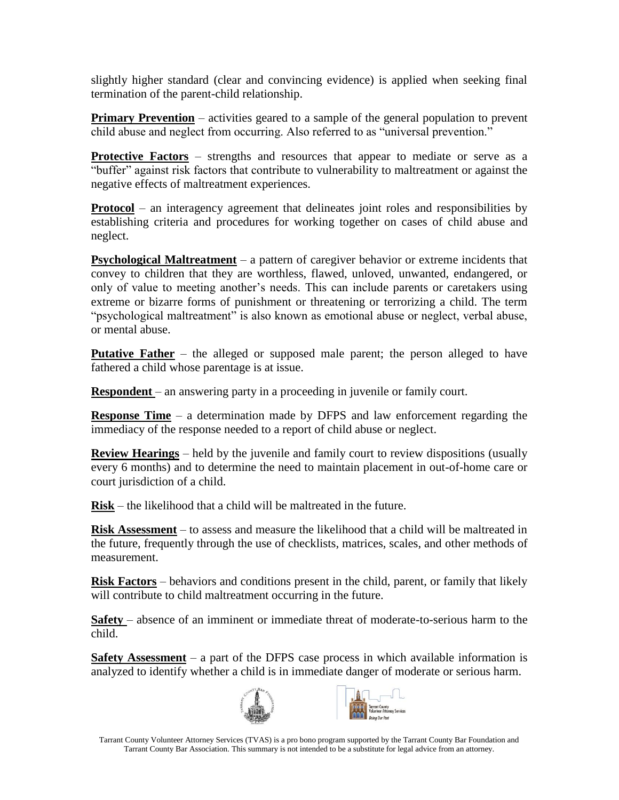slightly higher standard (clear and convincing evidence) is applied when seeking final termination of the parent-child relationship.

**Primary Prevention** – activities geared to a sample of the general population to prevent child abuse and neglect from occurring. Also referred to as "universal prevention."

**Protective Factors** – strengths and resources that appear to mediate or serve as a "buffer" against risk factors that contribute to vulnerability to maltreatment or against the negative effects of maltreatment experiences.

**Protocol** – an interagency agreement that delineates joint roles and responsibilities by establishing criteria and procedures for working together on cases of child abuse and neglect.

**Psychological Maltreatment** – a pattern of caregiver behavior or extreme incidents that convey to children that they are worthless, flawed, unloved, unwanted, endangered, or only of value to meeting another's needs. This can include parents or caretakers using extreme or bizarre forms of punishment or threatening or terrorizing a child. The term "psychological maltreatment" is also known as emotional abuse or neglect, verbal abuse, or mental abuse.

**Putative Father** – the alleged or supposed male parent; the person alleged to have fathered a child whose parentage is at issue.

**Respondent** – an answering party in a proceeding in juvenile or family court.

**Response Time** – a determination made by DFPS and law enforcement regarding the immediacy of the response needed to a report of child abuse or neglect.

**Review Hearings** – held by the juvenile and family court to review dispositions (usually every 6 months) and to determine the need to maintain placement in out-of-home care or court jurisdiction of a child.

**Risk** – the likelihood that a child will be maltreated in the future.

**Risk Assessment** – to assess and measure the likelihood that a child will be maltreated in the future, frequently through the use of checklists, matrices, scales, and other methods of measurement.

**Risk Factors** – behaviors and conditions present in the child, parent, or family that likely will contribute to child maltreatment occurring in the future.

**Safety** – absence of an imminent or immediate threat of moderate-to-serious harm to the child.

**Safety Assessment** – a part of the DFPS case process in which available information is analyzed to identify whether a child is in immediate danger of moderate or serious harm.



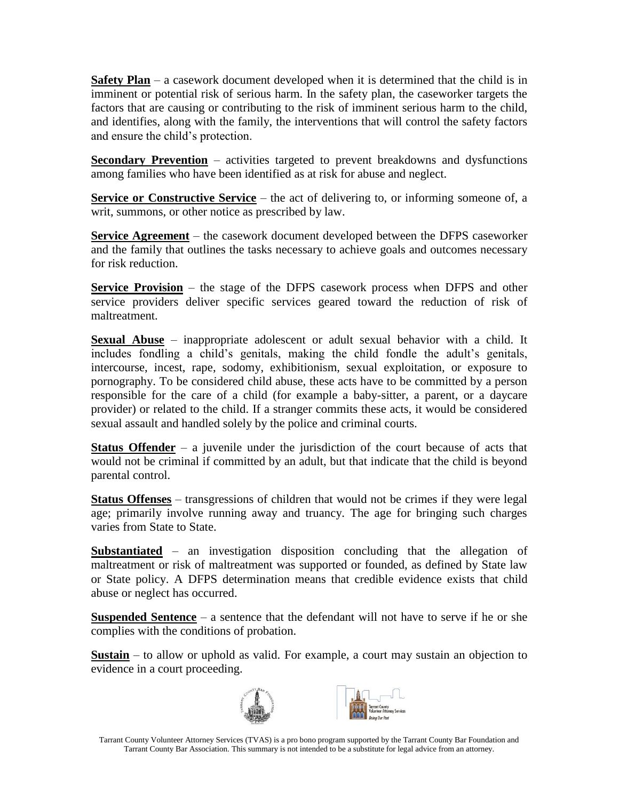**Safety Plan** – a casework document developed when it is determined that the child is in imminent or potential risk of serious harm. In the safety plan, the caseworker targets the factors that are causing or contributing to the risk of imminent serious harm to the child, and identifies, along with the family, the interventions that will control the safety factors and ensure the child's protection.

**Secondary Prevention** – activities targeted to prevent breakdowns and dysfunctions among families who have been identified as at risk for abuse and neglect.

**Service or Constructive Service** – the act of delivering to, or informing someone of, a writ, summons, or other notice as prescribed by law.

**Service Agreement** – the casework document developed between the DFPS caseworker and the family that outlines the tasks necessary to achieve goals and outcomes necessary for risk reduction.

**Service Provision** – the stage of the DFPS casework process when DFPS and other service providers deliver specific services geared toward the reduction of risk of maltreatment.

**Sexual Abuse** – inappropriate adolescent or adult sexual behavior with a child. It includes fondling a child's genitals, making the child fondle the adult's genitals, intercourse, incest, rape, sodomy, exhibitionism, sexual exploitation, or exposure to pornography. To be considered child abuse, these acts have to be committed by a person responsible for the care of a child (for example a baby-sitter, a parent, or a daycare provider) or related to the child. If a stranger commits these acts, it would be considered sexual assault and handled solely by the police and criminal courts.

**Status Offender** – a juvenile under the jurisdiction of the court because of acts that would not be criminal if committed by an adult, but that indicate that the child is beyond parental control.

**Status Offenses** – transgressions of children that would not be crimes if they were legal age; primarily involve running away and truancy. The age for bringing such charges varies from State to State.

**Substantiated** – an investigation disposition concluding that the allegation of maltreatment or risk of maltreatment was supported or founded, as defined by State law or State policy. A DFPS determination means that credible evidence exists that child abuse or neglect has occurred.

**Suspended Sentence** – a sentence that the defendant will not have to serve if he or she complies with the conditions of probation.

**Sustain** – to allow or uphold as valid. For example, a court may sustain an objection to evidence in a court proceeding.



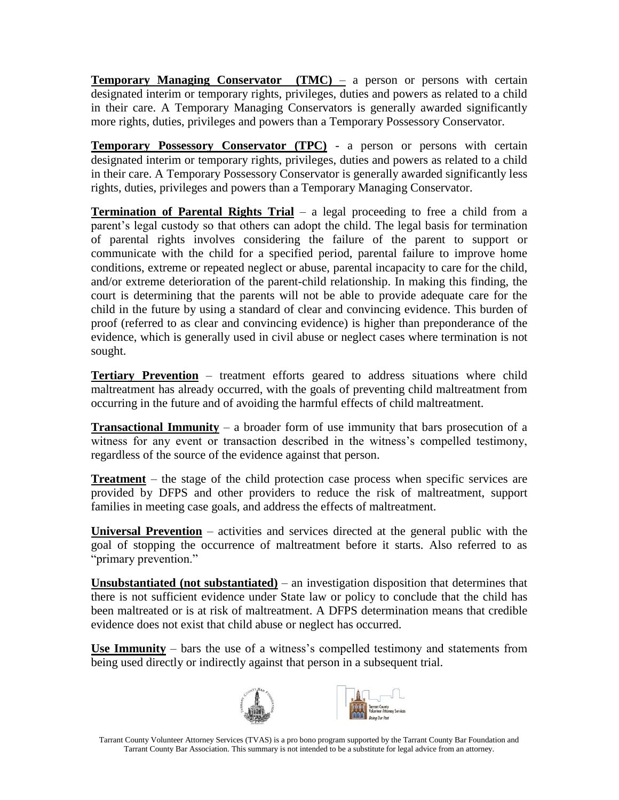**Temporary Managing Conservator** (**TMC**) – a person or persons with certain designated interim or temporary rights, privileges, duties and powers as related to a child in their care. A Temporary Managing Conservators is generally awarded significantly more rights, duties, privileges and powers than a Temporary Possessory Conservator.

**Temporary Possessory Conservator (TPC)** - a person or persons with certain designated interim or temporary rights, privileges, duties and powers as related to a child in their care. A Temporary Possessory Conservator is generally awarded significantly less rights, duties, privileges and powers than a Temporary Managing Conservator.

**Termination of Parental Rights Trial** – a legal proceeding to free a child from a parent's legal custody so that others can adopt the child. The legal basis for termination of parental rights involves considering the failure of the parent to support or communicate with the child for a specified period, parental failure to improve home conditions, extreme or repeated neglect or abuse, parental incapacity to care for the child, and/or extreme deterioration of the parent-child relationship. In making this finding, the court is determining that the parents will not be able to provide adequate care for the child in the future by using a standard of clear and convincing evidence. This burden of proof (referred to as clear and convincing evidence) is higher than preponderance of the evidence, which is generally used in civil abuse or neglect cases where termination is not sought.

**Tertiary Prevention** – treatment efforts geared to address situations where child maltreatment has already occurred, with the goals of preventing child maltreatment from occurring in the future and of avoiding the harmful effects of child maltreatment.

**Transactional Immunity** – a broader form of use immunity that bars prosecution of a witness for any event or transaction described in the witness's compelled testimony, regardless of the source of the evidence against that person.

**Treatment** – the stage of the child protection case process when specific services are provided by DFPS and other providers to reduce the risk of maltreatment, support families in meeting case goals, and address the effects of maltreatment.

**Universal Prevention** – activities and services directed at the general public with the goal of stopping the occurrence of maltreatment before it starts. Also referred to as "primary prevention."

**Unsubstantiated (not substantiated)** – an investigation disposition that determines that there is not sufficient evidence under State law or policy to conclude that the child has been maltreated or is at risk of maltreatment. A DFPS determination means that credible evidence does not exist that child abuse or neglect has occurred.

**Use Immunity** – bars the use of a witness's compelled testimony and statements from being used directly or indirectly against that person in a subsequent trial.



Tarrant County Volunteer Attorney Services (TVAS) is a pro bono program supported by the Tarrant County Bar Foundation and Tarrant County Bar Association. This summary is not intended to be a substitute for legal advice from an attorney.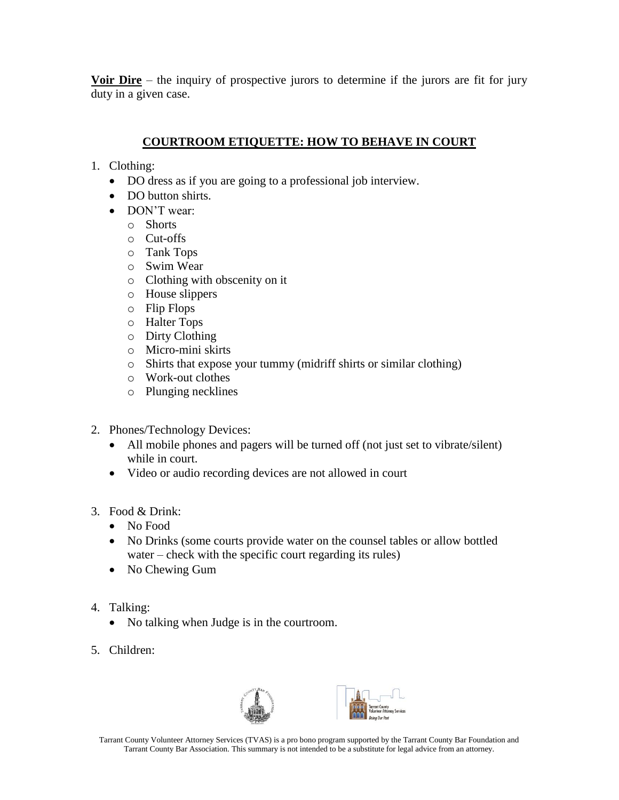**Voir Dire** – the inquiry of prospective jurors to determine if the jurors are fit for jury duty in a given case.

# **COURTROOM ETIQUETTE: HOW TO BEHAVE IN COURT**

- 1. Clothing:
	- DO dress as if you are going to a professional job interview.
	- DO button shirts.
	- DON'T wear:
		- o Shorts
		- o Cut-offs
		- o Tank Tops
		- o Swim Wear
		- o Clothing with obscenity on it
		- o House slippers
		- o Flip Flops
		- o Halter Tops
		- o Dirty Clothing
		- o Micro-mini skirts
		- o Shirts that expose your tummy (midriff shirts or similar clothing)
		- o Work-out clothes
		- o Plunging necklines
- 2. Phones/Technology Devices:
	- All mobile phones and pagers will be turned off (not just set to vibrate/silent) while in court.
	- Video or audio recording devices are not allowed in court
- 3. Food & Drink:
	- No Food
	- No Drinks (some courts provide water on the counsel tables or allow bottled water – check with the specific court regarding its rules)
	- No Chewing Gum
- 4. Talking:
	- No talking when Judge is in the courtroom.
- 5. Children:



Tarrant County Volunteer Attorney Services (TVAS) is a pro bono program supported by the Tarrant County Bar Foundation and Tarrant County Bar Association. This summary is not intended to be a substitute for legal advice from an attorney.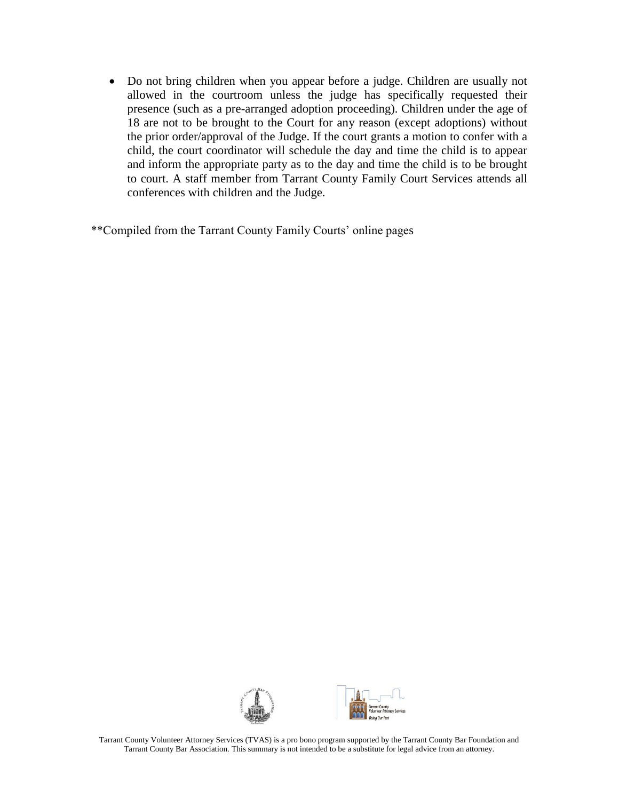• Do not bring children when you appear before a judge. Children are usually not allowed in the courtroom unless the judge has specifically requested their presence (such as a pre-arranged adoption proceeding). Children under the age of 18 are not to be brought to the Court for any reason (except adoptions) without the prior order/approval of the Judge. If the court grants a motion to confer with a child, the court coordinator will schedule the day and time the child is to appear and inform the appropriate party as to the day and time the child is to be brought to court. A staff member from Tarrant County Family Court Services attends all conferences with children and the Judge.

\*\*Compiled from the Tarrant County Family Courts' online pages

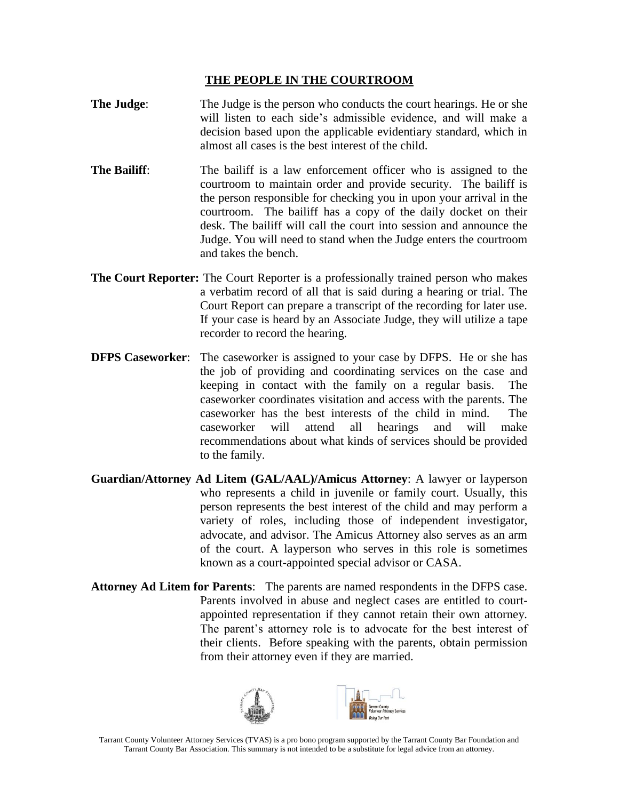### **THE PEOPLE IN THE COURTROOM**

- **The Judge:** The Judge is the person who conducts the court hearings. He or she will listen to each side's admissible evidence, and will make a decision based upon the applicable evidentiary standard, which in almost all cases is the best interest of the child.
- **The Bailiff:** The bailiff is a law enforcement officer who is assigned to the courtroom to maintain order and provide security. The bailiff is the person responsible for checking you in upon your arrival in the courtroom. The bailiff has a copy of the daily docket on their desk. The bailiff will call the court into session and announce the Judge. You will need to stand when the Judge enters the courtroom and takes the bench.
- **The Court Reporter:** The Court Reporter is a professionally trained person who makes a verbatim record of all that is said during a hearing or trial. The Court Report can prepare a transcript of the recording for later use. If your case is heard by an Associate Judge, they will utilize a tape recorder to record the hearing.
- **DFPS Caseworker**: The caseworker is assigned to your case by DFPS. He or she has the job of providing and coordinating services on the case and keeping in contact with the family on a regular basis. The caseworker coordinates visitation and access with the parents. The caseworker has the best interests of the child in mind. The caseworker will attend all hearings and will make recommendations about what kinds of services should be provided to the family.
- **Guardian/Attorney Ad Litem (GAL/AAL)/Amicus Attorney**: A lawyer or layperson who represents a child in juvenile or family court. Usually, this person represents the best interest of the child and may perform a variety of roles, including those of independent investigator, advocate, and advisor. The Amicus Attorney also serves as an arm of the court. A layperson who serves in this role is sometimes known as a court-appointed special advisor or CASA.
- **Attorney Ad Litem for Parents**: The parents are named respondents in the DFPS case. Parents involved in abuse and neglect cases are entitled to courtappointed representation if they cannot retain their own attorney. The parent's attorney role is to advocate for the best interest of their clients. Before speaking with the parents, obtain permission from their attorney even if they are married.



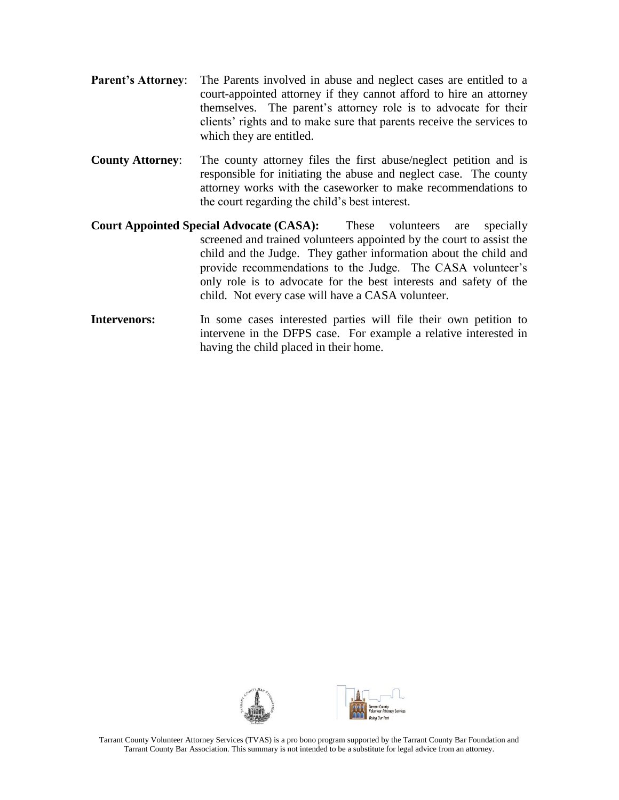- Parent's Attorney: The Parents involved in abuse and neglect cases are entitled to a court-appointed attorney if they cannot afford to hire an attorney themselves. The parent's attorney role is to advocate for their clients' rights and to make sure that parents receive the services to which they are entitled.
- **County Attorney**: The county attorney files the first abuse/neglect petition and is responsible for initiating the abuse and neglect case. The county attorney works with the caseworker to make recommendations to the court regarding the child's best interest.
- **Court Appointed Special Advocate (CASA):** These volunteers are specially screened and trained volunteers appointed by the court to assist the child and the Judge. They gather information about the child and provide recommendations to the Judge. The CASA volunteer's only role is to advocate for the best interests and safety of the child. Not every case will have a CASA volunteer.
- **Intervenors:** In some cases interested parties will file their own petition to intervene in the DFPS case. For example a relative interested in having the child placed in their home.

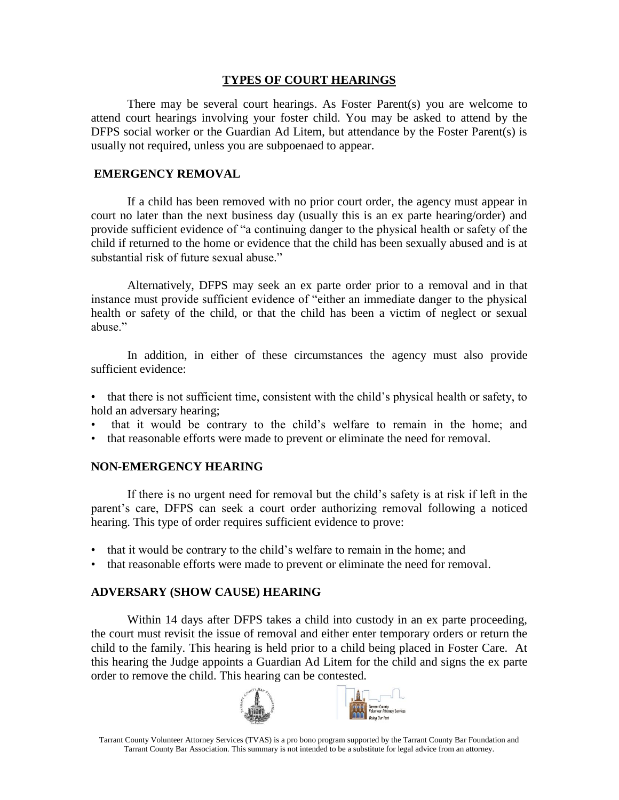### **TYPES OF COURT HEARINGS**

There may be several court hearings. As Foster Parent(s) you are welcome to attend court hearings involving your foster child. You may be asked to attend by the DFPS social worker or the Guardian Ad Litem, but attendance by the Foster Parent(s) is usually not required, unless you are subpoenaed to appear.

### **EMERGENCY REMOVAL**

If a child has been removed with no prior court order, the agency must appear in court no later than the next business day (usually this is an ex parte hearing/order) and provide sufficient evidence of "a continuing danger to the physical health or safety of the child if returned to the home or evidence that the child has been sexually abused and is at substantial risk of future sexual abuse."

Alternatively, DFPS may seek an ex parte order prior to a removal and in that instance must provide sufficient evidence of "either an immediate danger to the physical health or safety of the child, or that the child has been a victim of neglect or sexual abuse."

In addition, in either of these circumstances the agency must also provide sufficient evidence:

• that there is not sufficient time, consistent with the child's physical health or safety, to hold an adversary hearing;

- that it would be contrary to the child's welfare to remain in the home; and
- that reasonable efforts were made to prevent or eliminate the need for removal.

### **NON-EMERGENCY HEARING**

If there is no urgent need for removal but the child's safety is at risk if left in the parent's care, DFPS can seek a court order authorizing removal following a noticed hearing. This type of order requires sufficient evidence to prove:

- that it would be contrary to the child's welfare to remain in the home; and
- that reasonable efforts were made to prevent or eliminate the need for removal.

# **ADVERSARY (SHOW CAUSE) HEARING**

Within 14 days after DFPS takes a child into custody in an ex parte proceeding, the court must revisit the issue of removal and either enter temporary orders or return the child to the family. This hearing is held prior to a child being placed in Foster Care. At this hearing the Judge appoints a Guardian Ad Litem for the child and signs the ex parte order to remove the child. This hearing can be contested.



Tarrant County Volunteer Attorney Services (TVAS) is a pro bono program supported by the Tarrant County Bar Foundation and Tarrant County Bar Association. This summary is not intended to be a substitute for legal advice from an attorney.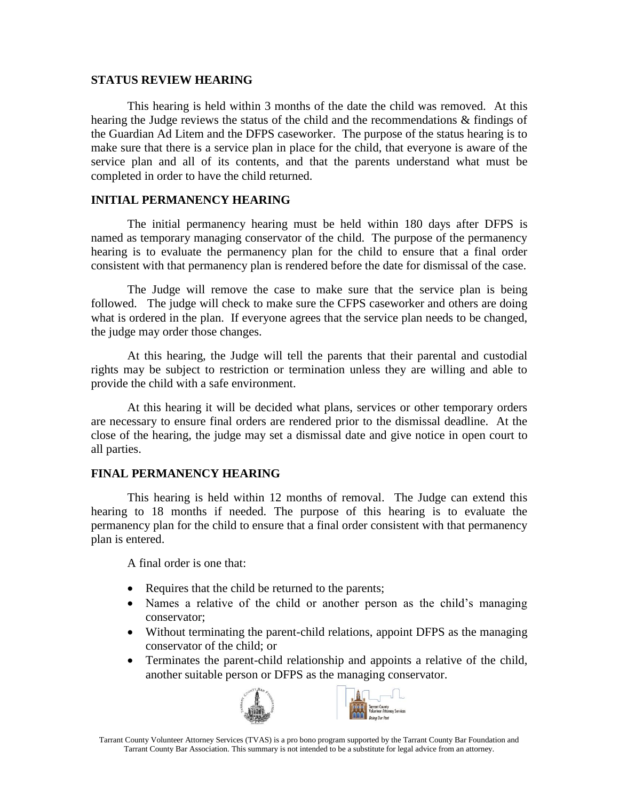#### **STATUS REVIEW HEARING**

This hearing is held within 3 months of the date the child was removed. At this hearing the Judge reviews the status of the child and the recommendations & findings of the Guardian Ad Litem and the DFPS caseworker. The purpose of the status hearing is to make sure that there is a service plan in place for the child, that everyone is aware of the service plan and all of its contents, and that the parents understand what must be completed in order to have the child returned.

### **INITIAL PERMANENCY HEARING**

The initial permanency hearing must be held within 180 days after DFPS is named as temporary managing conservator of the child. The purpose of the permanency hearing is to evaluate the permanency plan for the child to ensure that a final order consistent with that permanency plan is rendered before the date for dismissal of the case.

The Judge will remove the case to make sure that the service plan is being followed. The judge will check to make sure the CFPS caseworker and others are doing what is ordered in the plan. If everyone agrees that the service plan needs to be changed, the judge may order those changes.

At this hearing, the Judge will tell the parents that their parental and custodial rights may be subject to restriction or termination unless they are willing and able to provide the child with a safe environment.

At this hearing it will be decided what plans, services or other temporary orders are necessary to ensure final orders are rendered prior to the dismissal deadline. At the close of the hearing, the judge may set a dismissal date and give notice in open court to all parties.

### **FINAL PERMANENCY HEARING**

This hearing is held within 12 months of removal. The Judge can extend this hearing to 18 months if needed. The purpose of this hearing is to evaluate the permanency plan for the child to ensure that a final order consistent with that permanency plan is entered.

A final order is one that:

- Requires that the child be returned to the parents;
- Names a relative of the child or another person as the child's managing conservator;
- Without terminating the parent-child relations, appoint DFPS as the managing conservator of the child; or
- Terminates the parent-child relationship and appoints a relative of the child, another suitable person or DFPS as the managing conservator.



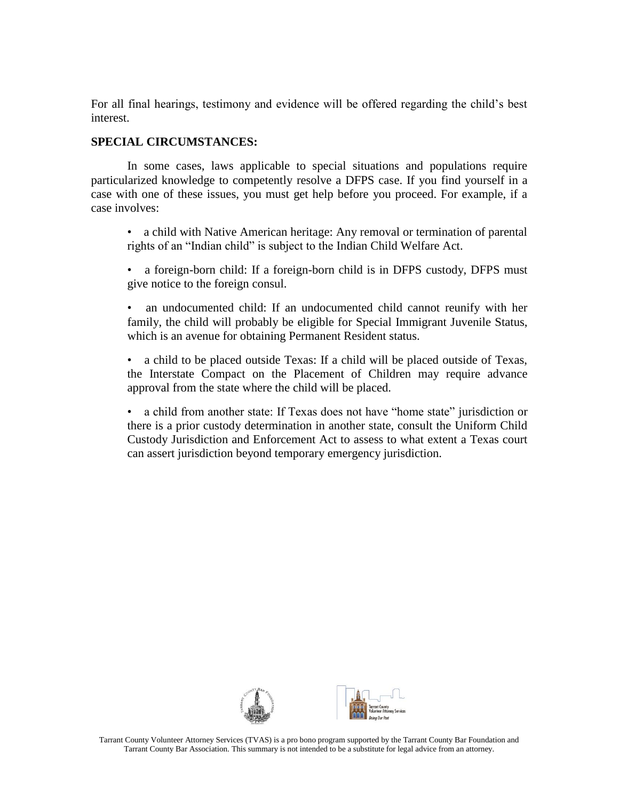For all final hearings, testimony and evidence will be offered regarding the child's best interest.

### **SPECIAL CIRCUMSTANCES:**

In some cases, laws applicable to special situations and populations require particularized knowledge to competently resolve a DFPS case. If you find yourself in a case with one of these issues, you must get help before you proceed. For example, if a case involves:

• a child with Native American heritage: Any removal or termination of parental rights of an "Indian child" is subject to the Indian Child Welfare Act.

• a foreign-born child: If a foreign-born child is in DFPS custody, DFPS must give notice to the foreign consul.

• an undocumented child: If an undocumented child cannot reunify with her family, the child will probably be eligible for Special Immigrant Juvenile Status, which is an avenue for obtaining Permanent Resident status.

• a child to be placed outside Texas: If a child will be placed outside of Texas, the Interstate Compact on the Placement of Children may require advance approval from the state where the child will be placed.

• a child from another state: If Texas does not have "home state" jurisdiction or there is a prior custody determination in another state, consult the Uniform Child Custody Jurisdiction and Enforcement Act to assess to what extent a Texas court can assert jurisdiction beyond temporary emergency jurisdiction.